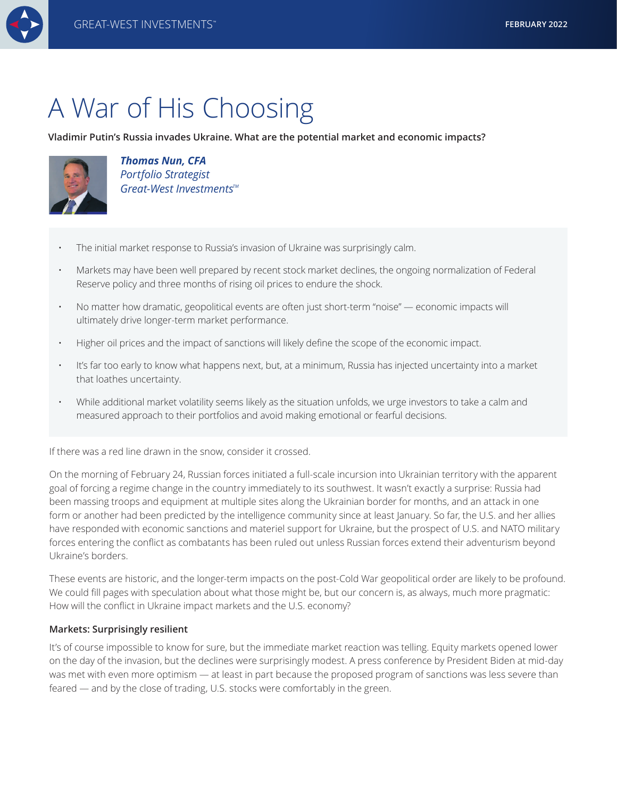

# A War of His Choosing

# **Vladimir Putin's Russia invades Ukraine. What are the potential market and economic impacts?**



*Thomas Nun, CFA Portfolio Strategist Great-West Investments<sup>™</sup>* 

- The initial market response to Russia's invasion of Ukraine was surprisingly calm.
- Markets may have been well prepared by recent stock market declines, the ongoing normalization of Federal Reserve policy and three months of rising oil prices to endure the shock.
- No matter how dramatic, geopolitical events are often just short-term "noise" economic impacts will ultimately drive longer-term market performance.
- Higher oil prices and the impact of sanctions will likely define the scope of the economic impact.
- It's far too early to know what happens next, but, at a minimum, Russia has injected uncertainty into a market that loathes uncertainty.
- While additional market volatility seems likely as the situation unfolds, we urge investors to take a calm and measured approach to their portfolios and avoid making emotional or fearful decisions.

If there was a red line drawn in the snow, consider it crossed.

On the morning of February 24, Russian forces initiated a full-scale incursion into Ukrainian territory with the apparent goal of forcing a regime change in the country immediately to its southwest. It wasn't exactly a surprise: Russia had been massing troops and equipment at multiple sites along the Ukrainian border for months, and an attack in one form or another had been predicted by the intelligence community since at least January. So far, the U.S. and her allies have responded with economic sanctions and materiel support for Ukraine, but the prospect of U.S. and NATO military forces entering the conflict as combatants has been ruled out unless Russian forces extend their adventurism beyond Ukraine's borders.

These events are historic, and the longer-term impacts on the post-Cold War geopolitical order are likely to be profound. We could fill pages with speculation about what those might be, but our concern is, as always, much more pragmatic: How will the conflict in Ukraine impact markets and the U.S. economy?

# **Markets: Surprisingly resilient**

It's of course impossible to know for sure, but the immediate market reaction was telling. Equity markets opened lower on the day of the invasion, but the declines were surprisingly modest. A press conference by President Biden at mid-day was met with even more optimism — at least in part because the proposed program of sanctions was less severe than feared — and by the close of trading, U.S. stocks were comfortably in the green.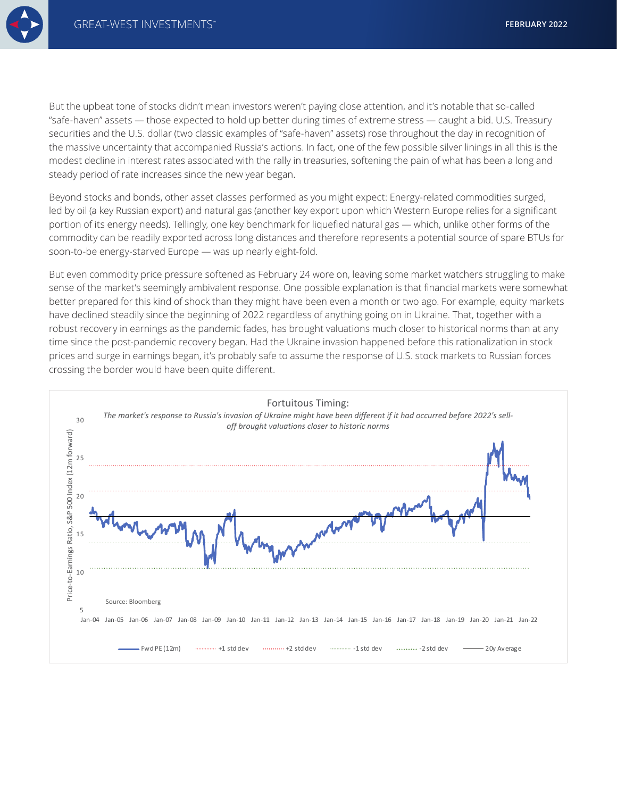

But the upbeat tone of stocks didn't mean investors weren't paying close attention, and it's notable that so-called "safe-haven" assets — those expected to hold up better during times of extreme stress — caught a bid. U.S. Treasury securities and the U.S. dollar (two classic examples of "safe-haven" assets) rose throughout the day in recognition of the massive uncertainty that accompanied Russia's actions. In fact, one of the few possible silver linings in all this is the modest decline in interest rates associated with the rally in treasuries, softening the pain of what has been a long and steady period of rate increases since the new year began.

Beyond stocks and bonds, other asset classes performed as you might expect: Energy-related commodities surged, led by oil (a key Russian export) and natural gas (another key export upon which Western Europe relies for a significant portion of its energy needs). Tellingly, one key benchmark for liquefied natural gas — which, unlike other forms of the commodity can be readily exported across long distances and therefore represents a potential source of spare BTUs for soon-to-be energy-starved Europe — was up nearly eight-fold.

But even commodity price pressure softened as February 24 wore on, leaving some market watchers struggling to make sense of the market's seemingly ambivalent response. One possible explanation is that financial markets were somewhat better prepared for this kind of shock than they might have been even a month or two ago. For example, equity markets have declined steadily since the beginning of 2022 regardless of anything going on in Ukraine. That, together with a robust recovery in earnings as the pandemic fades, has brought valuations much closer to historical norms than at any time since the post-pandemic recovery began. Had the Ukraine invasion happened before this rationalization in stock prices and surge in earnings began, it's probably safe to assume the response of U.S. stock markets to Russian forces crossing the border would have been quite different.

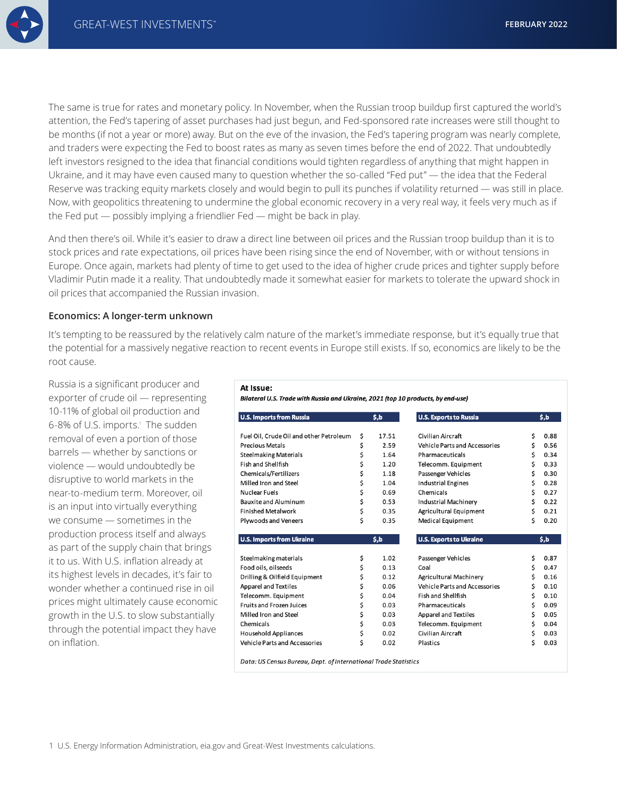The same is true for rates and monetary policy. In November, when the Russian troop buildup first captured the world's attention, the Fed's tapering of asset purchases had just begun, and Fed-sponsored rate increases were still thought to be months (if not a year or more) away. But on the eve of the invasion, the Fed's tapering program was nearly complete, and traders were expecting the Fed to boost rates as many as seven times before the end of 2022. That undoubtedly left investors resigned to the idea that financial conditions would tighten regardless of anything that might happen in Ukraine, and it may have even caused many to question whether the so-called "Fed put" — the idea that the Federal Reserve was tracking equity markets closely and would begin to pull its punches if volatility returned — was still in place. Now, with geopolitics threatening to undermine the global economic recovery in a very real way, it feels very much as if the Fed put — possibly implying a friendlier Fed — might be back in play.

And then there's oil. While it's easier to draw a direct line between oil prices and the Russian troop buildup than it is to stock prices and rate expectations, oil prices have been rising since the end of November, with or without tensions in Europe. Once again, markets had plenty of time to get used to the idea of higher crude prices and tighter supply before Vladimir Putin made it a reality. That undoubtedly made it somewhat easier for markets to tolerate the upward shock in oil prices that accompanied the Russian invasion.

### **Economics: A longer-term unknown**

It's tempting to be reassured by the relatively calm nature of the market's immediate response, but it's equally true that the potential for a massively negative reaction to recent events in Europe still exists. If so, economics are likely to be the root cause.

Russia is a significant producer and exporter of crude oil — representing 10-11% of global oil production and 6-8% of U.S. imports.1 The sudden removal of even a portion of those barrels — whether by sanctions or violence — would undoubtedly be disruptive to world markets in the near-to-medium term. Moreover, oil is an input into virtually everything we consume — sometimes in the production process itself and always as part of the supply chain that brings it to us. With U.S. inflation already at its highest levels in decades, it's fair to wonder whether a continued rise in oil prices might ultimately cause economic growth in the U.S. to slow substantially through the potential impact they have on inflation.

#### At Iccup.

Bilateral U.S. Trade with Russia and Ukraine, 2021 (top 10 products, by end-use)

| <b>U.S. Imports from Russia</b>         |    | \$,b  | <b>U.S. Exports to Russia</b>        |    | \$,b |  |
|-----------------------------------------|----|-------|--------------------------------------|----|------|--|
| Fuel Oil, Crude Oil and other Petroleum | \$ | 17.51 | Civilian Aircraft                    | \$ | 0.88 |  |
| <b>Precious Metals</b>                  | \$ | 2.59  | <b>Vehicle Parts and Accessories</b> | \$ | 0.56 |  |
| <b>Steelmaking Materials</b>            | \$ | 1.64  | Pharmaceuticals                      | \$ | 0.34 |  |
| Fish and Shellfish                      | \$ | 1.20  | Telecomm. Equipment                  | \$ | 0.33 |  |
| Chemicals/Fertilizers                   | \$ | 1.18  | Passenger Vehicles                   | \$ | 0.30 |  |
| Milled Iron and Steel                   | \$ | 1.04  | <b>Industrial Engines</b>            | \$ | 0.28 |  |
| Nuclear Fuels                           | \$ | 0.69  | Chemicals                            | \$ | 0.27 |  |
| <b>Bauxite and Aluminum</b>             | \$ | 0.53  | Industrial Machinery                 | \$ | 0.22 |  |
| <b>Finished Metalwork</b>               | \$ | 0.35  | Agricultural Equipment               | \$ | 0.21 |  |
| Plywoods and Veneers                    | \$ | 0.35  | <b>Medical Equipment</b>             | \$ | 0.20 |  |
|                                         |    |       |                                      |    |      |  |
| <b>U.S. Imports from Ukraine</b>        |    | \$,b  | <b>U.S. Exports to Ukraine</b>       |    | \$,b |  |
|                                         |    |       |                                      |    |      |  |
| Steelmaking materials                   | \$ | 1.02  | Passenger Vehicles                   | \$ | 0.87 |  |
| Food oils, oilseeds                     | \$ | 0.13  | Coal                                 | \$ | 0.47 |  |
| Drilling & Oilfield Equipment           | \$ | 0.12  | Agricultural Machinery               | \$ | 0.16 |  |
| <b>Apparel and Textiles</b>             | \$ | 0.06  | <b>Vehicle Parts and Accessories</b> | \$ | 0.10 |  |
| Telecomm. Equipment                     | \$ | 0.04  | Fish and Shellfish                   | \$ | 0.10 |  |
|                                         |    |       |                                      |    |      |  |
| <b>Fruits and Frozen Juices</b>         | \$ | 0.03  | Pharmaceuticals                      | \$ | 0.09 |  |
| Milled Iron and Steel                   | \$ | 0.03  | <b>Apparel and Textiles</b>          | \$ | 0.05 |  |
| Chemicals                               | \$ | 0.03  | Telecomm. Equipment                  | \$ | 0.04 |  |
| <b>Household Appliances</b>             | \$ | 0.02  | Civilian Aircraft                    | \$ | 0.03 |  |
| <b>Vehicle Parts and Accessories</b>    | \$ | 0.02  | Plastics                             | \$ | 0.03 |  |

Data: US Census Bureau, Dept. of International Trade Statistics